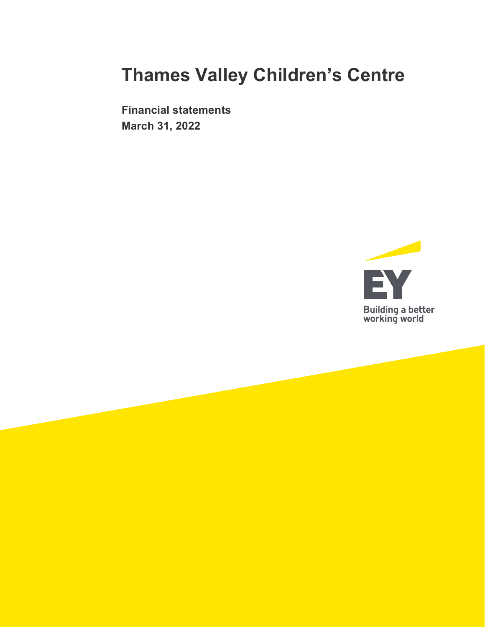**Financial statements March 31, 2022** 

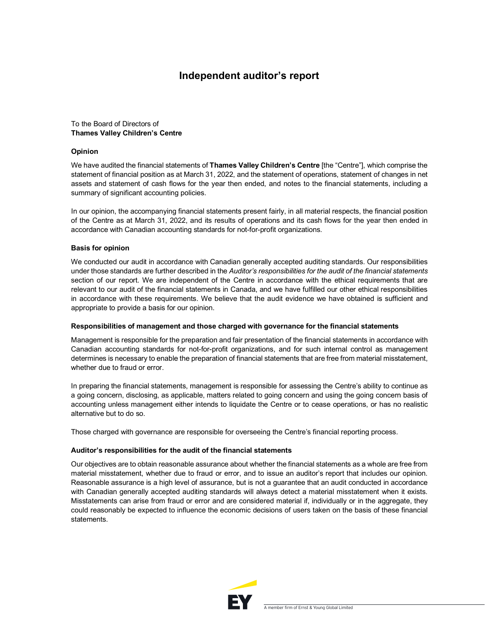# **Independent auditor's report**

To the Board of Directors of **Thames Valley Children's Centre**

#### **Opinion**

We have audited the financial statements of **Thames Valley Children's Centre** [the "Centre"], which comprise the statement of financial position as at March 31, 2022, and the statement of operations, statement of changes in net assets and statement of cash flows for the year then ended, and notes to the financial statements, including a summary of significant accounting policies.

In our opinion, the accompanying financial statements present fairly, in all material respects, the financial position of the Centre as at March 31, 2022, and its results of operations and its cash flows for the year then ended in accordance with Canadian accounting standards for not-for-profit organizations.

#### **Basis for opinion**

We conducted our audit in accordance with Canadian generally accepted auditing standards. Our responsibilities under those standards are further described in the *Auditor's responsibilities for the audit of the financial statements*  section of our report. We are independent of the Centre in accordance with the ethical requirements that are relevant to our audit of the financial statements in Canada, and we have fulfilled our other ethical responsibilities in accordance with these requirements. We believe that the audit evidence we have obtained is sufficient and appropriate to provide a basis for our opinion.

#### **Responsibilities of management and those charged with governance for the financial statements**

Management is responsible for the preparation and fair presentation of the financial statements in accordance with Canadian accounting standards for not-for-profit organizations, and for such internal control as management determines is necessary to enable the preparation of financial statements that are free from material misstatement, whether due to fraud or error.

In preparing the financial statements, management is responsible for assessing the Centre's ability to continue as a going concern, disclosing, as applicable, matters related to going concern and using the going concern basis of accounting unless management either intends to liquidate the Centre or to cease operations, or has no realistic alternative but to do so.

Those charged with governance are responsible for overseeing the Centre's financial reporting process.

#### **Auditor's responsibilities for the audit of the financial statements**

Our objectives are to obtain reasonable assurance about whether the financial statements as a whole are free from material misstatement, whether due to fraud or error, and to issue an auditor's report that includes our opinion. Reasonable assurance is a high level of assurance, but is not a guarantee that an audit conducted in accordance with Canadian generally accepted auditing standards will always detect a material misstatement when it exists. Misstatements can arise from fraud or error and are considered material if, individually or in the aggregate, they could reasonably be expected to influence the economic decisions of users taken on the basis of these financial statements.

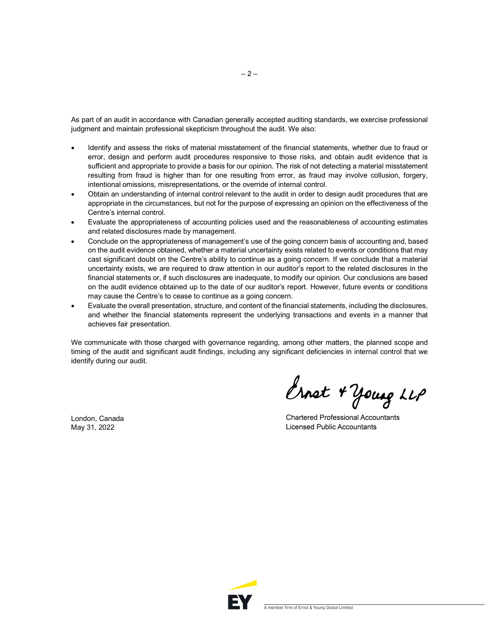As part of an audit in accordance with Canadian generally accepted auditing standards, we exercise professional judgment and maintain professional skepticism throughout the audit. We also:

- Identify and assess the risks of material misstatement of the financial statements, whether due to fraud or error, design and perform audit procedures responsive to those risks, and obtain audit evidence that is sufficient and appropriate to provide a basis for our opinion. The risk of not detecting a material misstatement resulting from fraud is higher than for one resulting from error, as fraud may involve collusion, forgery, intentional omissions, misrepresentations, or the override of internal control.
- Obtain an understanding of internal control relevant to the audit in order to design audit procedures that are appropriate in the circumstances, but not for the purpose of expressing an opinion on the effectiveness of the Centre's internal control.
- Evaluate the appropriateness of accounting policies used and the reasonableness of accounting estimates and related disclosures made by management.
- Conclude on the appropriateness of management's use of the going concern basis of accounting and, based on the audit evidence obtained, whether a material uncertainty exists related to events or conditions that may cast significant doubt on the Centre's ability to continue as a going concern. If we conclude that a material uncertainty exists, we are required to draw attention in our auditor's report to the related disclosures in the financial statements or, if such disclosures are inadequate, to modify our opinion. Our conclusions are based on the audit evidence obtained up to the date of our auditor's report. However, future events or conditions may cause the Centre's to cease to continue as a going concern.
- Evaluate the overall presentation, structure, and content of the financial statements, including the disclosures, and whether the financial statements represent the underlying transactions and events in a manner that achieves fair presentation.

We communicate with those charged with governance regarding, among other matters, the planned scope and timing of the audit and significant audit findings, including any significant deficiencies in internal control that we identify during our audit.

London, Canada May 31, 2022

Ernet + Young LLP

**Chartered Professional Accountants Licensed Public Accountants** 

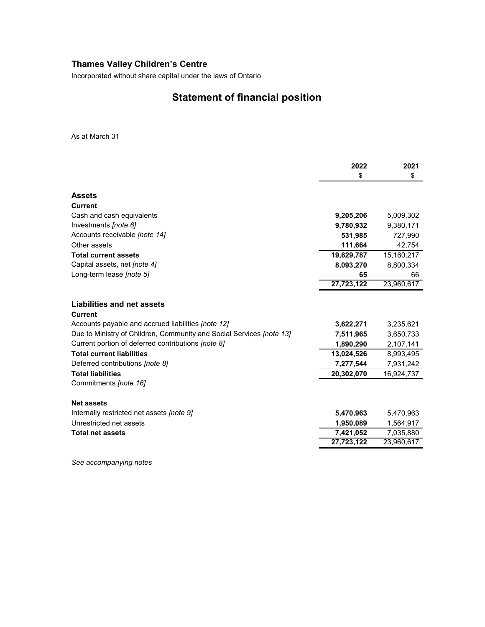Incorporated without share capital under the laws of Ontario

# **Statement of financial position**

As at March 31

|                                                                      | 2022       | 2021       |
|----------------------------------------------------------------------|------------|------------|
|                                                                      | \$         | \$         |
| <b>Assets</b>                                                        |            |            |
| <b>Current</b>                                                       |            |            |
| Cash and cash equivalents                                            | 9,205,206  | 5,009,302  |
| Investments [note 6]                                                 | 9,780,932  | 9,380,171  |
| Accounts receivable [note 14]                                        | 531,985    | 727.990    |
| Other assets                                                         | 111,664    | 42.754     |
| <b>Total current assets</b>                                          | 19,629,787 | 15,160,217 |
| Capital assets, net [note 4]                                         | 8,093,270  | 8,800,334  |
| Long-term lease [note 5]                                             | 65         | 66         |
|                                                                      | 27,723,122 | 23,960,617 |
| <b>Liabilities and net assets</b><br>Current                         |            |            |
| Accounts payable and accrued liabilities [note 12]                   | 3,622,271  | 3,235,621  |
| Due to Ministry of Children, Community and Social Services [note 13] | 7,511,965  | 3,650,733  |
| Current portion of deferred contributions <i>[note 8]</i>            | 1,890,290  | 2,107,141  |
| <b>Total current liabilities</b>                                     | 13,024,526 | 8,993,495  |
| Deferred contributions [note 8]                                      | 7,277,544  | 7,931,242  |
| <b>Total liabilities</b>                                             | 20,302,070 | 16,924,737 |
| Commitments [note 16]                                                |            |            |
| <b>Net assets</b>                                                    |            |            |
| Internally restricted net assets [note 9]                            | 5,470,963  | 5,470,963  |
| Unrestricted net assets                                              | 1,950,089  | 1,564,917  |
| <b>Total net assets</b>                                              | 7,421,052  | 7,035,880  |
|                                                                      | 27,723,122 | 23,960,617 |
|                                                                      |            |            |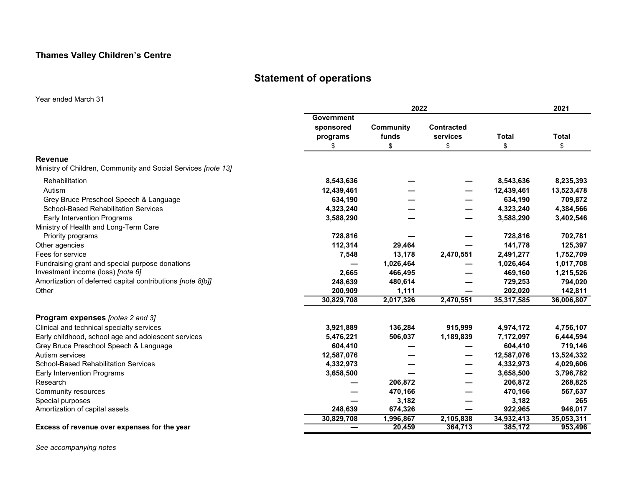# **Statement of operations**

Year ended March 31

|                                                               | 2022                     |                  |                   | 2021         |              |
|---------------------------------------------------------------|--------------------------|------------------|-------------------|--------------|--------------|
|                                                               | <b>Government</b>        |                  |                   |              |              |
|                                                               | sponsored                | <b>Community</b> | <b>Contracted</b> |              |              |
|                                                               | programs                 | funds            | services          | <b>Total</b> | <b>Total</b> |
|                                                               | \$                       | \$               | \$                | \$           | \$           |
| <b>Revenue</b>                                                |                          |                  |                   |              |              |
| Ministry of Children, Community and Social Services [note 13] |                          |                  |                   |              |              |
| Rehabilitation                                                | 8,543,636                |                  |                   | 8,543,636    | 8,235,393    |
| Autism                                                        | 12,439,461               |                  |                   | 12,439,461   | 13,523,478   |
| Grey Bruce Preschool Speech & Language                        | 634,190                  |                  |                   | 634,190      | 709,872      |
| <b>School-Based Rehabilitation Services</b>                   | 4,323,240                |                  |                   | 4,323,240    | 4,384,566    |
| Early Intervention Programs                                   | 3,588,290                |                  |                   | 3,588,290    | 3,402,546    |
| Ministry of Health and Long-Term Care                         |                          |                  |                   |              |              |
| Priority programs                                             | 728,816                  |                  |                   | 728,816      | 702,781      |
| Other agencies                                                | 112,314                  | 29,464           |                   | 141,778      | 125,397      |
| Fees for service                                              | 7,548                    | 13,178           | 2,470,551         | 2,491,277    | 1,752,709    |
| Fundraising grant and special purpose donations               |                          | 1,026,464        |                   | 1,026,464    | 1,017,708    |
| Investment income (loss) [note 6]                             | 2,665                    | 466,495          |                   | 469,160      | 1,215,526    |
| Amortization of deferred capital contributions [note 8[b]]    | 248,639                  | 480,614          |                   | 729,253      | 794,020      |
| Other                                                         | 200,909                  | 1,111            |                   | 202,020      | 142,811      |
|                                                               | 30,829,708               | 2,017,326        | 2,470,551         | 35,317,585   | 36,006,807   |
| Program expenses [notes 2 and 3]                              |                          |                  |                   |              |              |
| Clinical and technical specialty services                     | 3,921,889                | 136,284          | 915,999           | 4,974,172    | 4,756,107    |
| Early childhood, school age and adolescent services           | 5,476,221                | 506,037          | 1,189,839         | 7,172,097    | 6,444,594    |
| Grey Bruce Preschool Speech & Language                        | 604,410                  |                  |                   | 604,410      | 719,146      |
| Autism services                                               | 12,587,076               |                  |                   | 12,587,076   | 13,524,332   |
| <b>School-Based Rehabilitation Services</b>                   | 4,332,973                |                  |                   | 4,332,973    | 4,029,606    |
| <b>Early Intervention Programs</b>                            | 3,658,500                |                  |                   | 3,658,500    | 3,796,782    |
| Research                                                      |                          | 206,872          |                   | 206,872      | 268,825      |
| Community resources                                           |                          | 470,166          |                   | 470,166      | 567,637      |
| Special purposes                                              |                          | 3,182            |                   | 3,182        | 265          |
| Amortization of capital assets                                | 248,639                  | 674,326          |                   | 922,965      | 946,017      |
|                                                               | 30,829,708               | 1,996,867        | 2,105,838         | 34,932,413   | 35,053,311   |
| Excess of revenue over expenses for the year                  | $\overline{\phantom{0}}$ | 20,459           | 364,713           | 385,172      | 953,496      |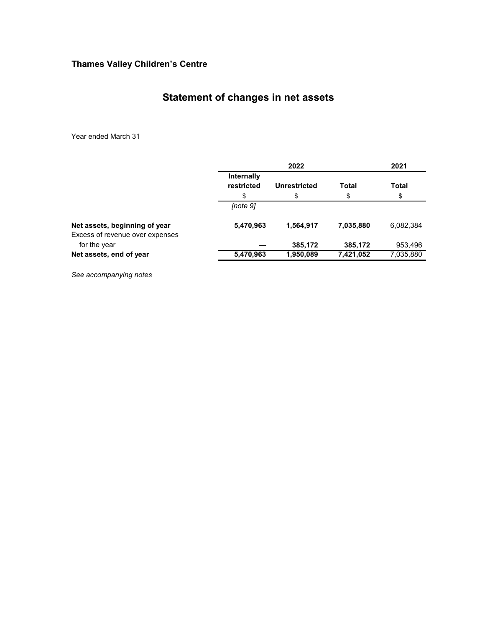# **Statement of changes in net assets**

Year ended March 31

|                                                 | 2022                           |                           |                    | 2021               |
|-------------------------------------------------|--------------------------------|---------------------------|--------------------|--------------------|
|                                                 | Internally<br>restricted<br>\$ | <b>Unrestricted</b><br>\$ | <b>Total</b><br>\$ | <b>Total</b><br>\$ |
|                                                 | [note 9]                       |                           |                    |                    |
| Net assets, beginning of year                   | 5,470,963                      | 1,564,917                 | 7,035,880          | 6,082,384          |
| Excess of revenue over expenses<br>for the year |                                | 385,172                   | 385,172            | 953,496            |
| Net assets, end of year                         | 5,470,963                      | 1,950,089                 | 7,421,052          | 7,035,880          |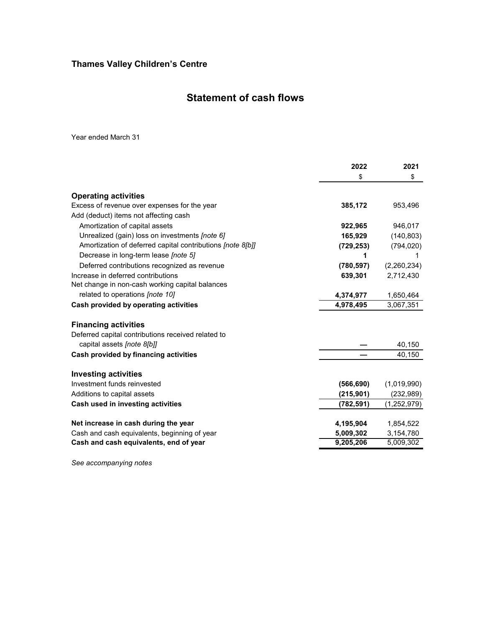# **Statement of cash flows**

Year ended March 31

|                                                            | 2022       | 2021                   |
|------------------------------------------------------------|------------|------------------------|
|                                                            | \$         | \$                     |
| <b>Operating activities</b>                                |            |                        |
| Excess of revenue over expenses for the year               | 385,172    | 953,496                |
| Add (deduct) items not affecting cash                      |            |                        |
| Amortization of capital assets                             | 922,965    | 946,017                |
| Unrealized (gain) loss on investments <i>(note 6)</i>      | 165,929    | (140, 803)             |
| Amortization of deferred capital contributions [note 8[b]] | (729, 253) | (794, 020)             |
| Decrease in long-term lease [note 5]                       | 1          | 1                      |
| Deferred contributions recognized as revenue               | (780, 597) | (2,260,234)            |
| Increase in deferred contributions                         | 639,301    | 2,712,430              |
| Net change in non-cash working capital balances            |            |                        |
| related to operations [note 10]                            | 4,374,977  | 1,650,464              |
| Cash provided by operating activities                      | 4,978,495  | 3,067,351              |
| <b>Financing activities</b>                                |            |                        |
| Deferred capital contributions received related to         |            |                        |
| capital assets [note 8[b]]                                 |            | 40,150                 |
| Cash provided by financing activities                      |            | 40,150                 |
| Investing activities                                       |            |                        |
| Investment funds reinvested                                | (566, 690) | (1,019,990)            |
| Additions to capital assets                                | (215, 901) | (232, 989)             |
| Cash used in investing activities                          | (782, 591) | (1,252,979)            |
| Net increase in cash during the year                       | 4,195,904  | 1,854,522              |
| Cash and cash equivalents, beginning of year               | 5,009,302  | 3,154,780              |
| Cash and cash equivalents, end of year                     | 9,205,206  | $\overline{5,009,302}$ |
|                                                            |            |                        |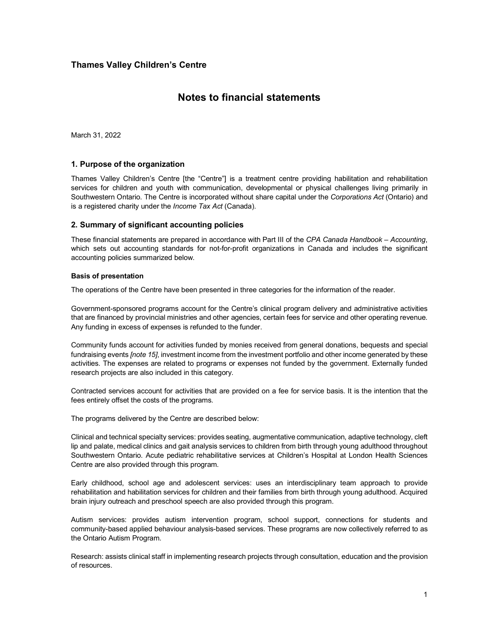# **Notes to financial statements**

March 31, 2022

#### **1. Purpose of the organization**

Thames Valley Children's Centre [the "Centre"] is a treatment centre providing habilitation and rehabilitation services for children and youth with communication, developmental or physical challenges living primarily in Southwestern Ontario. The Centre is incorporated without share capital under the *Corporations Act* (Ontario) and is a registered charity under the *Income Tax Act* (Canada).

#### **2. Summary of significant accounting policies**

These financial statements are prepared in accordance with Part III of the *CPA Canada Handbook – Accounting*, which sets out accounting standards for not-for-profit organizations in Canada and includes the significant accounting policies summarized below.

#### **Basis of presentation**

The operations of the Centre have been presented in three categories for the information of the reader.

Government-sponsored programs account for the Centre's clinical program delivery and administrative activities that are financed by provincial ministries and other agencies, certain fees for service and other operating revenue. Any funding in excess of expenses is refunded to the funder.

Community funds account for activities funded by monies received from general donations, bequests and special fundraising events *[note 15]*, investment income from the investment portfolio and other income generated by these activities. The expenses are related to programs or expenses not funded by the government. Externally funded research projects are also included in this category.

Contracted services account for activities that are provided on a fee for service basis. It is the intention that the fees entirely offset the costs of the programs.

The programs delivered by the Centre are described below:

Clinical and technical specialty services: provides seating, augmentative communication, adaptive technology, cleft lip and palate, medical clinics and gait analysis services to children from birth through young adulthood throughout Southwestern Ontario. Acute pediatric rehabilitative services at Children's Hospital at London Health Sciences Centre are also provided through this program.

Early childhood, school age and adolescent services: uses an interdisciplinary team approach to provide rehabilitation and habilitation services for children and their families from birth through young adulthood. Acquired brain injury outreach and preschool speech are also provided through this program.

Autism services: provides autism intervention program, school support, connections for students and community-based applied behaviour analysis-based services. These programs are now collectively referred to as the Ontario Autism Program.

Research: assists clinical staff in implementing research projects through consultation, education and the provision of resources.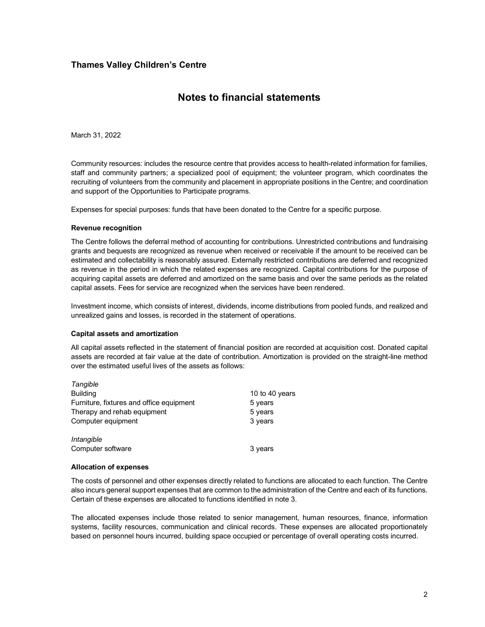# **Notes to financial statements**

March 31, 2022

Community resources: includes the resource centre that provides access to health-related information for families, staff and community partners; a specialized pool of equipment; the volunteer program, which coordinates the recruiting of volunteers from the community and placement in appropriate positions in the Centre; and coordination and support of the Opportunities to Participate programs.

Expenses for special purposes: funds that have been donated to the Centre for a specific purpose.

#### **Revenue recognition**

The Centre follows the deferral method of accounting for contributions. Unrestricted contributions and fundraising grants and bequests are recognized as revenue when received or receivable if the amount to be received can be estimated and collectability is reasonably assured. Externally restricted contributions are deferred and recognized as revenue in the period in which the related expenses are recognized. Capital contributions for the purpose of acquiring capital assets are deferred and amortized on the same basis and over the same periods as the related capital assets. Fees for service are recognized when the services have been rendered.

Investment income, which consists of interest, dividends, income distributions from pooled funds, and realized and unrealized gains and losses, is recorded in the statement of operations.

#### **Capital assets and amortization**

All capital assets reflected in the statement of financial position are recorded at acquisition cost. Donated capital assets are recorded at fair value at the date of contribution. Amortization is provided on the straight-line method over the estimated useful lives of the assets as follows:

| 10 to 40 years |
|----------------|
|                |
| 5 years        |
| 5 years        |
| 3 years        |
|                |
| 3 years        |
|                |

#### **Allocation of expenses**

*Tangible*

The costs of personnel and other expenses directly related to functions are allocated to each function. The Centre also incurs general support expenses that are common to the administration of the Centre and each of its functions. Certain of these expenses are allocated to functions identified in note 3.

The allocated expenses include those related to senior management, human resources, finance, information systems, facility resources, communication and clinical records. These expenses are allocated proportionately based on personnel hours incurred, building space occupied or percentage of overall operating costs incurred.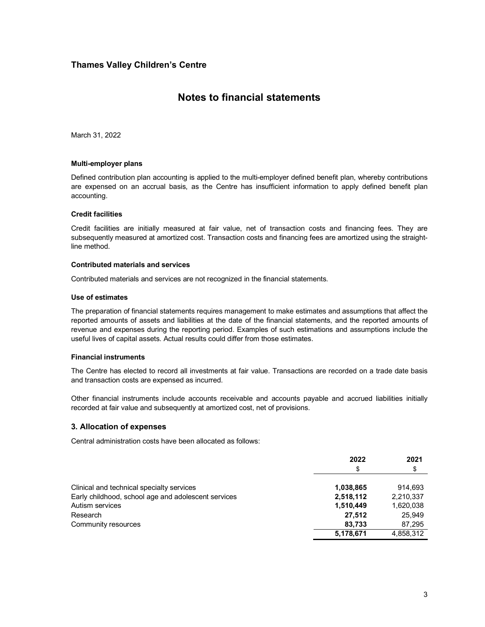# **Notes to financial statements**

March 31, 2022

#### **Multi-employer plans**

Defined contribution plan accounting is applied to the multi-employer defined benefit plan, whereby contributions are expensed on an accrual basis, as the Centre has insufficient information to apply defined benefit plan accounting.

#### **Credit facilities**

Credit facilities are initially measured at fair value, net of transaction costs and financing fees. They are subsequently measured at amortized cost. Transaction costs and financing fees are amortized using the straightline method.

#### **Contributed materials and services**

Contributed materials and services are not recognized in the financial statements.

#### **Use of estimates**

The preparation of financial statements requires management to make estimates and assumptions that affect the reported amounts of assets and liabilities at the date of the financial statements, and the reported amounts of revenue and expenses during the reporting period. Examples of such estimations and assumptions include the useful lives of capital assets. Actual results could differ from those estimates.

#### **Financial instruments**

The Centre has elected to record all investments at fair value. Transactions are recorded on a trade date basis and transaction costs are expensed as incurred.

Other financial instruments include accounts receivable and accounts payable and accrued liabilities initially recorded at fair value and subsequently at amortized cost, net of provisions.

#### **3. Allocation of expenses**

Central administration costs have been allocated as follows:

|                                                     | 2022      | 2021      |
|-----------------------------------------------------|-----------|-----------|
|                                                     | \$        | \$        |
| Clinical and technical specialty services           | 1,038,865 | 914.693   |
| Early childhood, school age and adolescent services | 2,518,112 | 2,210,337 |
| Autism services                                     | 1,510,449 | 1,620,038 |
| Research                                            | 27.512    | 25.949    |
| Community resources                                 | 83,733    | 87,295    |
|                                                     | 5,178,671 | 4,858,312 |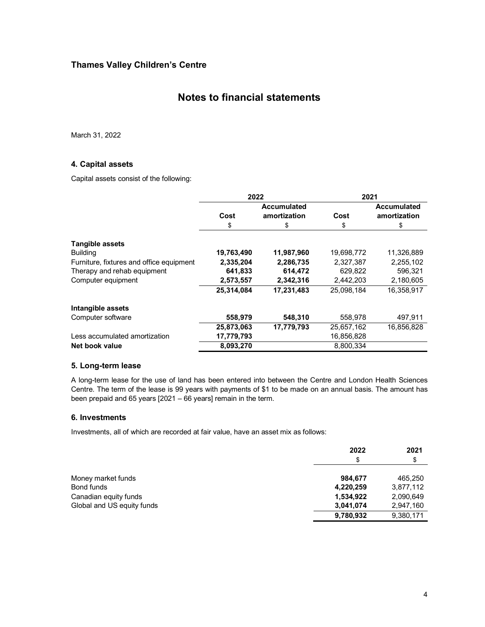# **Notes to financial statements**

March 31, 2022

#### **4. Capital assets**

Capital assets consist of the following:

|                    |            | 2021                       |                    |
|--------------------|------------|----------------------------|--------------------|
| <b>Accumulated</b> |            |                            | <b>Accumulated</b> |
|                    |            |                            | amortization       |
|                    |            |                            | \$                 |
|                    |            |                            |                    |
| 19,763,490         | 11,987,960 | 19,698,772                 | 11,326,889         |
| 2,335,204          | 2,286,735  | 2.327.387                  | 2,255,102          |
| 641,833            | 614,472    | 629.822                    | 596.321            |
| 2,573,557          | 2,342,316  | 2,442,203                  | 2,180,605          |
| 25,314,084         | 17,231,483 | 25.098.184                 | 16.358.917         |
|                    |            |                            |                    |
| 558,979            | 548,310    | 558,978                    | 497,911            |
| 25,873,063         | 17.779.793 | 25,657,162                 | 16.856.828         |
| 17,779,793         |            | 16,856,828                 |                    |
| 8,093,270          |            | 8,800,334                  |                    |
|                    | Cost<br>\$ | 2022<br>amortization<br>\$ | Cost<br>\$         |

#### **5. Long-term lease**

A long-term lease for the use of land has been entered into between the Centre and London Health Sciences Centre. The term of the lease is 99 years with payments of \$1 to be made on an annual basis. The amount has been prepaid and 65 years [2021 – 66 years] remain in the term.

#### **6. Investments**

Investments, all of which are recorded at fair value, have an asset mix as follows:

|                            | 2022      | 2021      |
|----------------------------|-----------|-----------|
|                            | \$        | \$        |
|                            |           |           |
| Money market funds         | 984.677   | 465,250   |
| Bond funds                 | 4,220,259 | 3,877,112 |
| Canadian equity funds      | 1,534,922 | 2,090,649 |
| Global and US equity funds | 3,041,074 | 2.947.160 |
|                            | 9,780,932 | 9,380,171 |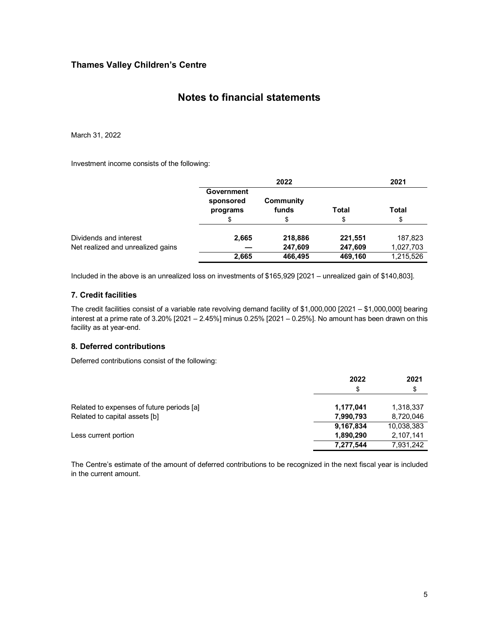### **Notes to financial statements**

March 31, 2022

Investment income consists of the following:

|                                   |                                | 2022      |              | 2021      |
|-----------------------------------|--------------------------------|-----------|--------------|-----------|
|                                   | <b>Government</b><br>sponsored | Community |              |           |
|                                   | programs                       | funds     | <b>Total</b> | Total     |
|                                   | \$                             | \$        | \$           | \$        |
| Dividends and interest            | 2,665                          | 218,886   | 221,551      | 187,823   |
| Net realized and unrealized gains |                                | 247,609   | 247,609      | 1,027,703 |
|                                   | 2,665                          | 466,495   | 469,160      | 1,215,526 |

Included in the above is an unrealized loss on investments of \$165,929 [2021 – unrealized gain of \$140,803].

#### **7. Credit facilities**

The credit facilities consist of a variable rate revolving demand facility of \$1,000,000 [2021 – \$1,000,000] bearing interest at a prime rate of 3.20% [2021 – 2.45%] minus 0.25% [2021 – 0.25%]. No amount has been drawn on this facility as at year-end.

#### **8. Deferred contributions**

Deferred contributions consist of the following:

|                                           | 2022      | 2021       |
|-------------------------------------------|-----------|------------|
|                                           | \$        | \$         |
| Related to expenses of future periods [a] | 1,177,041 | 1,318,337  |
| Related to capital assets [b]             | 7,990,793 | 8,720,046  |
|                                           | 9,167,834 | 10,038,383 |
| Less current portion                      | 1,890,290 | 2,107,141  |
|                                           | 7,277,544 | 7,931,242  |

The Centre's estimate of the amount of deferred contributions to be recognized in the next fiscal year is included in the current amount.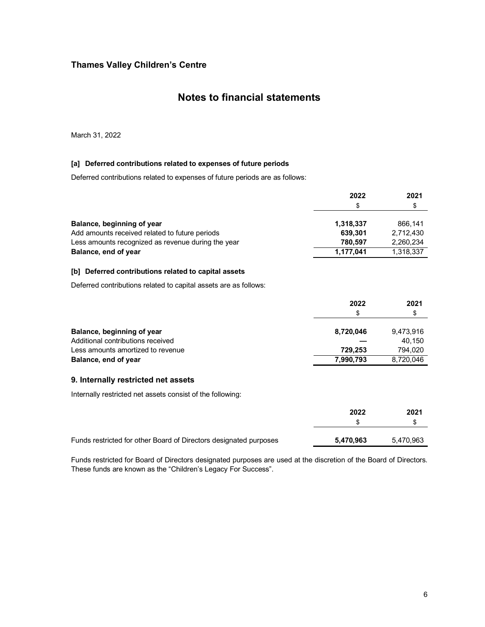# **Notes to financial statements**

March 31, 2022

#### **[a] Deferred contributions related to expenses of future periods**

Deferred contributions related to expenses of future periods are as follows:

|                                                    | 2022      | 2021      |
|----------------------------------------------------|-----------|-----------|
|                                                    | \$        | \$        |
| Balance, beginning of year                         | 1,318,337 | 866.141   |
| Add amounts received related to future periods     | 639,301   | 2,712,430 |
| Less amounts recognized as revenue during the year | 780.597   | 2,260,234 |
| Balance, end of year                               | 1,177,041 | 1,318,337 |
|                                                    |           |           |

#### **[b] Deferred contributions related to capital assets**

Deferred contributions related to capital assets are as follows:

|                                   | 2022      | 2021      |
|-----------------------------------|-----------|-----------|
|                                   | \$        | S         |
|                                   |           |           |
| Balance, beginning of year        | 8,720,046 | 9.473.916 |
| Additional contributions received |           | 40.150    |
| Less amounts amortized to revenue | 729.253   | 794,020   |
| Balance, end of year              | 7,990,793 | 8,720,046 |

#### **9. Internally restricted net assets**

Internally restricted net assets consist of the following:

|                                                                   | 2022      | 2021      |
|-------------------------------------------------------------------|-----------|-----------|
| Funds restricted for other Board of Directors designated purposes | 5.470.963 | 5.470.963 |

Funds restricted for Board of Directors designated purposes are used at the discretion of the Board of Directors. These funds are known as the "Children's Legacy For Success".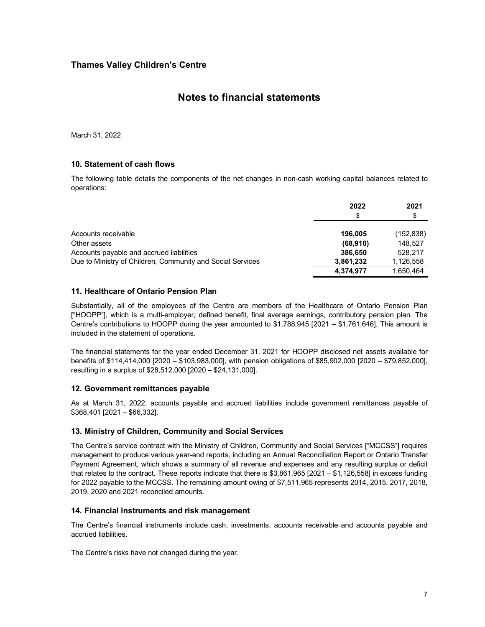# **Notes to financial statements**

March 31, 2022

#### **10. Statement of cash flows**

The following table details the components of the net changes in non-cash working capital balances related to operations:

|                                                            | 2022      | 2021      |
|------------------------------------------------------------|-----------|-----------|
|                                                            | \$        | \$        |
| Accounts receivable                                        | 196.005   | (152,838) |
| Other assets                                               | (68, 910) | 148.527   |
| Accounts payable and accrued liabilities                   | 386,650   | 528.217   |
| Due to Ministry of Children, Community and Social Services | 3,861,232 | 1,126,558 |
|                                                            | 4.374.977 | 1,650,464 |

#### **11. Healthcare of Ontario Pension Plan**

Substantially, all of the employees of the Centre are members of the Healthcare of Ontario Pension Plan ["HOOPP"], which is a multi-employer, defined benefit, final average earnings, contributory pension plan. The Centre's contributions to HOOPP during the year amounted to \$1,788,945 [2021 – \$1,761,646]. This amount is included in the statement of operations.

The financial statements for the year ended December 31, 2021 for HOOPP disclosed net assets available for benefits of \$114,414,000 [2020 – \$103,983,000], with pension obligations of \$85,902,000 [2020 – \$79,852,000], resulting in a surplus of \$28,512,000 [2020 – \$24,131,000].

#### **12. Government remittances payable**

As at March 31, 2022, accounts payable and accrued liabilities include government remittances payable of \$368,401 [2021 – \$66,332].

#### **13. Ministry of Children, Community and Social Services**

The Centre's service contract with the Ministry of Children, Community and Social Services ["MCCSS"] requires management to produce various year-end reports, including an Annual Reconciliation Report or Ontario Transfer Payment Agreement, which shows a summary of all revenue and expenses and any resulting surplus or deficit that relates to the contract. These reports indicate that there is \$3,861,965 [2021 – \$1,126,558] in excess funding for 2022 payable to the MCCSS. The remaining amount owing of \$7,511,965 represents 2014, 2015, 2017, 2018, 2019, 2020 and 2021 reconciled amounts.

#### **14. Financial instruments and risk management**

The Centre's financial instruments include cash, investments, accounts receivable and accounts payable and accrued liabilities.

The Centre's risks have not changed during the year.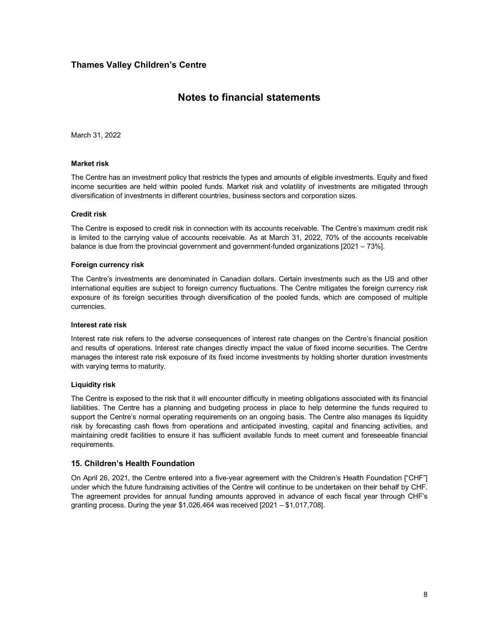# **Notes to financial statements**

March 31, 2022

#### **Market risk**

The Centre has an investment policy that restricts the types and amounts of eligible investments. Equity and fixed income securities are held within pooled funds. Market risk and volatility of investments are mitigated through diversification of investments in different countries, business sectors and corporation sizes.

#### **Credit risk**

The Centre is exposed to credit risk in connection with its accounts receivable. The Centre's maximum credit risk is limited to the carrying value of accounts receivable. As at March 31, 2022, 70% of the accounts receivable balance is due from the provincial government and government-funded organizations [2021 – 73%].

#### **Foreign currency risk**

The Centre's investments are denominated in Canadian dollars. Certain investments such as the US and other international equities are subject to foreign currency fluctuations. The Centre mitigates the foreign currency risk exposure of its foreign securities through diversification of the pooled funds, which are composed of multiple currencies.

#### **Interest rate risk**

Interest rate risk refers to the adverse consequences of interest rate changes on the Centre's financial position and results of operations. Interest rate changes directly impact the value of fixed income securities. The Centre manages the interest rate risk exposure of its fixed income investments by holding shorter duration investments with varying terms to maturity.

#### **Liquidity risk**

The Centre is exposed to the risk that it will encounter difficulty in meeting obligations associated with its financial liabilities. The Centre has a planning and budgeting process in place to help determine the funds required to support the Centre's normal operating requirements on an ongoing basis. The Centre also manages its liquidity risk by forecasting cash flows from operations and anticipated investing, capital and financing activities, and maintaining credit facilities to ensure it has sufficient available funds to meet current and foreseeable financial requirements.

#### **15. Children's Health Foundation**

On April 26, 2021, the Centre entered into a five-year agreement with the Children's Health Foundation ["CHF"] under which the future fundraising activities of the Centre will continue to be undertaken on their behalf by CHF. The agreement provides for annual funding amounts approved in advance of each fiscal year through CHF's granting process. During the year \$1,026,464 was received [2021 – \$1,017,708].